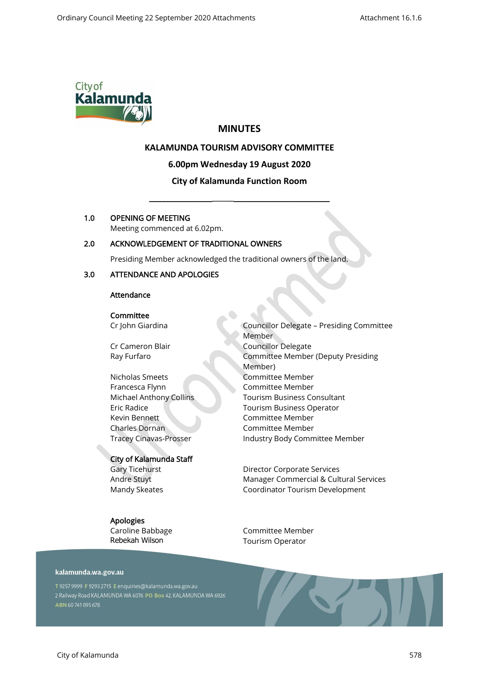

# **MINUTES**

# **KALAMUNDA TOURISM ADVISORY COMMITTEE**

**6.00pm Wednesday 19 August 2020**

# **City of Kalamunda Function Room**

\_\_\_\_\_\_\_\_\_\_\_\_\_\_\_\_\_\_\_\_\_\_\_\_\_\_\_\_\_\_\_\_\_\_\_\_\_\_\_\_\_\_\_\_\_\_\_\_\_\_\_\_

## 1.0 OPENING OF MEETING

Meeting commenced at 6.02pm.

# 2.0 ACKNOWLEDGEMENT OF TRADITIONAL OWNERS

Presiding Member acknowledged the traditional owners of the land.

### 3.0 ATTENDANCE AND APOLOGIES

### Attendance

**Committee** Cr John Giardina

Cr Cameron Blair Ray Furfaro

Nicholas Smeets Francesca Flynn Michael Anthony Collins Eric Radice Kevin Bennett Charles Dornan Tracey Cinavas-Prosser

#### City of Kalamunda Staff

Gary Ticehurst Andre Stuyt Mandy Skeates

# Apologies

Caroline Babbage Rebekah Wilson

Councillor Delegate – Presiding Committee Member Councillor Delegate Committee Member (Deputy Presiding Member) Committee Member Committee Member Tourism Business Consultant Tourism Business Operator Committee Member Committee Member Industry Body Committee Member

Director Corporate Services Manager Commercial & Cultural Services Coordinator Tourism Development

Committee Member Tourism Operator

#### kalamunda.wa.gov.au

T 9257 9999 F 9293 2715 E enquiries@kalamunda.wa.gov.au 2 Railway Road KALAMUNDA WA 6076 PO Box 42, KALAMUNDA WA 6926 ABN 60741095678

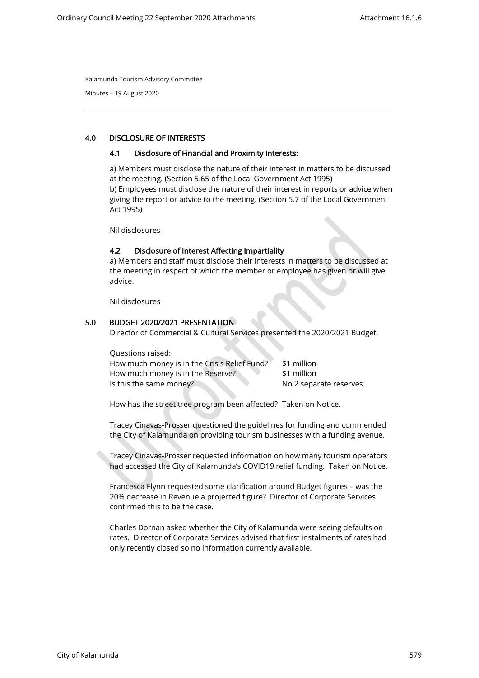Minutes – 19 August 2020

### 4.0 DISCLOSURE OF INTERESTS

#### 4.1 Disclosure of Financial and Proximity Interests:

a) Members must disclose the nature of their interest in matters to be discussed at the meeting. (Section 5.65 of the Local Government Act 1995) b) Employees must disclose the nature of their interest in reports or advice when giving the report or advice to the meeting. (Section 5.7 of the Local Government Act 1995)

Nil disclosures

### 4.2 Disclosure of Interest Affecting Impartiality

a) Members and staff must disclose their interests in matters to be discussed at the meeting in respect of which the member or employee has given or will give advice.

Nil disclosures

### 5.0 BUDGET 2020/2021 PRESENTATION

Director of Commercial & Cultural Services presented the 2020/2021 Budget.

| Questions raised:                            |                         |
|----------------------------------------------|-------------------------|
| How much money is in the Crisis Relief Fund? | \$1 million             |
| How much money is in the Reserve?            | \$1 million             |
| Is this the same money?                      | No 2 separate reserves. |

How has the street tree program been affected? Taken on Notice.

Tracey Cinavas-Prosser questioned the guidelines for funding and commended the City of Kalamunda on providing tourism businesses with a funding avenue.

Tracey Cinavas-Prosser requested information on how many tourism operators had accessed the City of Kalamunda's COVID19 relief funding. Taken on Notice.

Francesca Flynn requested some clarification around Budget figures – was the 20% decrease in Revenue a projected figure? Director of Corporate Services confirmed this to be the case.

Charles Dornan asked whether the City of Kalamunda were seeing defaults on rates. Director of Corporate Services advised that first instalments of rates had only recently closed so no information currently available.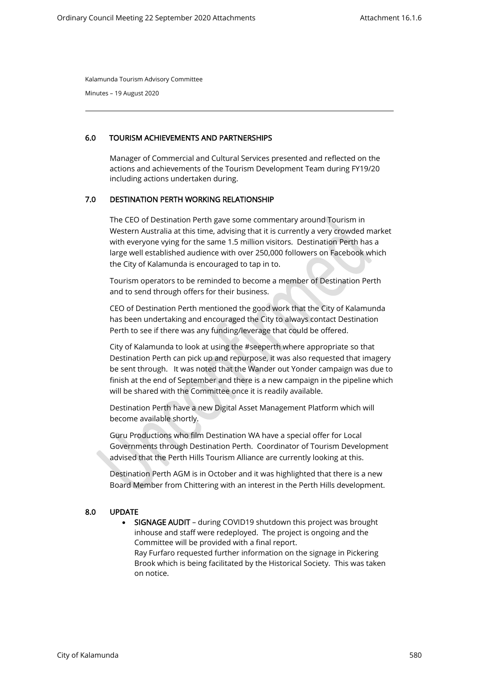Minutes – 19 August 2020

## 6.0 TOURISM ACHIEVEMENTS AND PARTNERSHIPS

Manager of Commercial and Cultural Services presented and reflected on the actions and achievements of the Tourism Development Team during FY19/20 including actions undertaken during.

### 7.0 DESTINATION PERTH WORKING RELATIONSHIP

The CEO of Destination Perth gave some commentary around Tourism in Western Australia at this time, advising that it is currently a very crowded market with everyone vying for the same 1.5 million visitors. Destination Perth has a large well established audience with over 250,000 followers on Facebook which the City of Kalamunda is encouraged to tap in to.

Tourism operators to be reminded to become a member of Destination Perth and to send through offers for their business.

CEO of Destination Perth mentioned the good work that the City of Kalamunda has been undertaking and encouraged the City to always contact Destination Perth to see if there was any funding/leverage that could be offered.

City of Kalamunda to look at using the #seeperth where appropriate so that Destination Perth can pick up and repurpose, it was also requested that imagery be sent through. It was noted that the Wander out Yonder campaign was due to finish at the end of September and there is a new campaign in the pipeline which will be shared with the Committee once it is readily available.

Destination Perth have a new Digital Asset Management Platform which will become available shortly.

Guru Productions who film Destination WA have a special offer for Local Governments through Destination Perth. Coordinator of Tourism Development advised that the Perth Hills Tourism Alliance are currently looking at this.

Destination Perth AGM is in October and it was highlighted that there is a new Board Member from Chittering with an interest in the Perth Hills development.

## 8.0 UPDATE

• SIGNAGE AUDIT - during COVID19 shutdown this project was brought inhouse and staff were redeployed. The project is ongoing and the Committee will be provided with a final report. Ray Furfaro requested further information on the signage in Pickering Brook which is being facilitated by the Historical Society. This was taken on notice.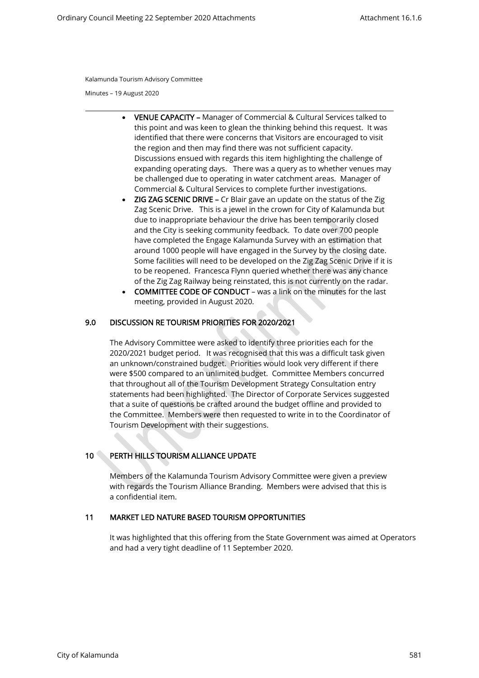Minutes – 19 August 2020

- VENUE CAPACITY Manager of Commercial & Cultural Services talked to this point and was keen to glean the thinking behind this request. It was identified that there were concerns that Visitors are encouraged to visit the region and then may find there was not sufficient capacity. Discussions ensued with regards this item highlighting the challenge of expanding operating days. There was a query as to whether venues may be challenged due to operating in water catchment areas. Manager of Commercial & Cultural Services to complete further investigations.
- ZIG ZAG SCENIC DRIVE Cr Blair gave an update on the status of the Zig Zag Scenic Drive. This is a jewel in the crown for City of Kalamunda but due to inappropriate behaviour the drive has been temporarily closed and the City is seeking community feedback. To date over 700 people have completed the Engage Kalamunda Survey with an estimation that around 1000 people will have engaged in the Survey by the closing date. Some facilities will need to be developed on the Zig Zag Scenic Drive if it is to be reopened. Francesca Flynn queried whether there was any chance of the Zig Zag Railway being reinstated, this is not currently on the radar.
- COMMITTEE CODE OF CONDUCT was a link on the minutes for the last meeting, provided in August 2020.

### 9.0 DISCUSSION RE TOURISM PRIORITIES FOR 2020/2021

The Advisory Committee were asked to identify three priorities each for the 2020/2021 budget period. It was recognised that this was a difficult task given an unknown/constrained budget. Priorities would look very different if there were \$500 compared to an unlimited budget. Committee Members concurred that throughout all of the Tourism Development Strategy Consultation entry statements had been highlighted. The Director of Corporate Services suggested that a suite of questions be crafted around the budget offline and provided to the Committee. Members were then requested to write in to the Coordinator of Tourism Development with their suggestions.

# 10 PERTH HILLS TOURISM ALLIANCE UPDATE

Members of the Kalamunda Tourism Advisory Committee were given a preview with regards the Tourism Alliance Branding. Members were advised that this is a confidential item.

## 11 MARKET LED NATURE BASED TOURISM OPPORTUNITIES

It was highlighted that this offering from the State Government was aimed at Operators and had a very tight deadline of 11 September 2020.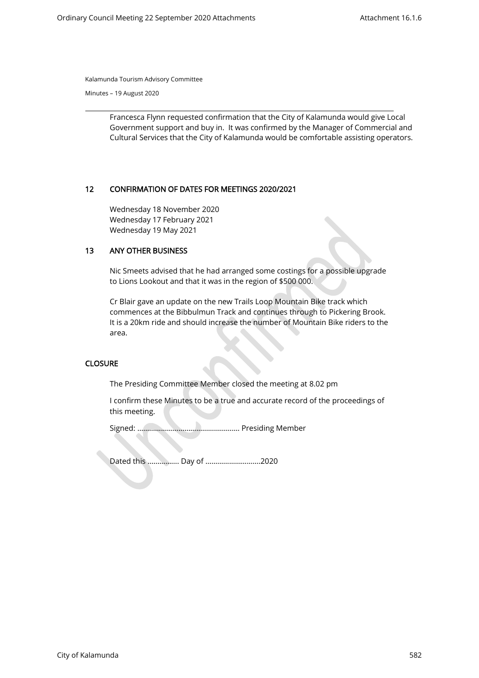Minutes – 19 August 2020

Francesca Flynn requested confirmation that the City of Kalamunda would give Local Government support and buy in. It was confirmed by the Manager of Commercial and Cultural Services that the City of Kalamunda would be comfortable assisting operators.

### 12 CONFIRMATION OF DATES FOR MEETINGS 2020/2021

Wednesday 18 November 2020 Wednesday 17 February 2021 Wednesday 19 May 2021

## 13 ANY OTHER BUSINESS

Nic Smeets advised that he had arranged some costings for a possible upgrade to Lions Lookout and that it was in the region of \$500 000.

Cr Blair gave an update on the new Trails Loop Mountain Bike track which commences at the Bibbulmun Track and continues through to Pickering Brook. It is a 20km ride and should increase the number of Mountain Bike riders to the area.

#### **CLOSURE**

The Presiding Committee Member closed the meeting at 8.02 pm

I confirm these Minutes to be a true and accurate record of the proceedings of this meeting.

Signed: ……………………………………………. Presiding Member

Dated this ……………. Day of ……………………….2020